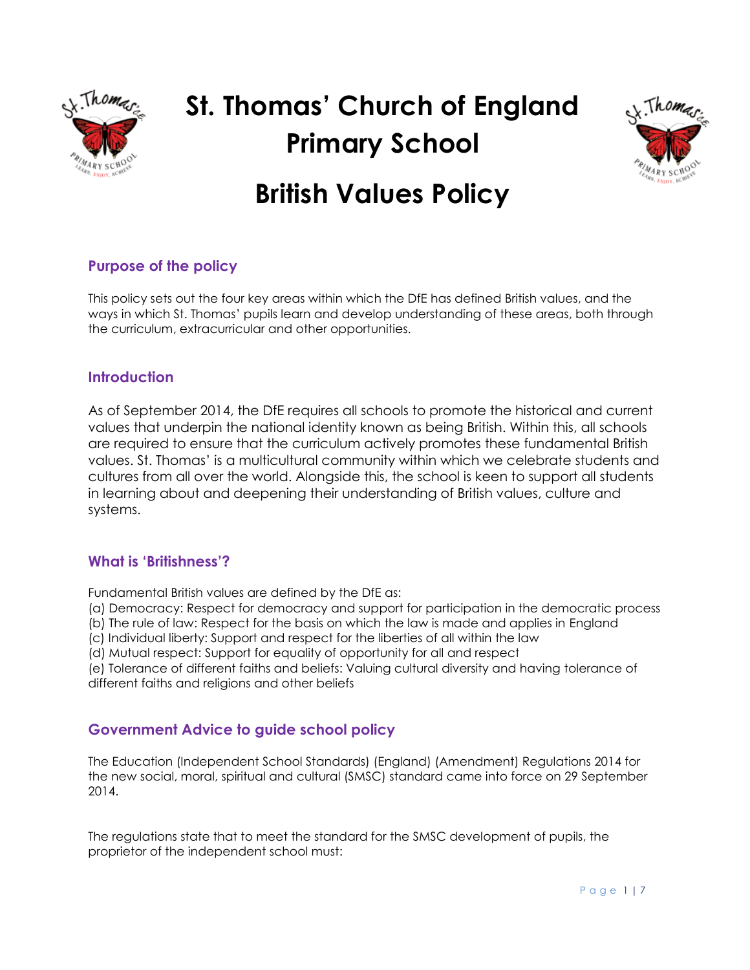

# **St. Thomas' Church of England Primary School**



## **British Values Policy**

#### **Purpose of the policy**

This policy sets out the four key areas within which the DfE has defined British values, and the ways in which St. Thomas' pupils learn and develop understanding of these areas, both through the curriculum, extracurricular and other opportunities.

#### **Introduction**

As of September 2014, the DfE requires all schools to promote the historical and current values that underpin the national identity known as being British. Within this, all schools are required to ensure that the curriculum actively promotes these fundamental British values. St. Thomas' is a multicultural community within which we celebrate students and cultures from all over the world. Alongside this, the school is keen to support all students in learning about and deepening their understanding of British values, culture and systems.

#### **What is 'Britishness'?**

Fundamental British values are defined by the DfE as:

(a) Democracy: Respect for democracy and support for participation in the democratic process

(b) The rule of law: Respect for the basis on which the law is made and applies in England

(c) Individual liberty: Support and respect for the liberties of all within the law

(d) Mutual respect: Support for equality of opportunity for all and respect

(e) Tolerance of different faiths and beliefs: Valuing cultural diversity and having tolerance of different faiths and religions and other beliefs

#### **Government Advice to guide school policy**

The Education (Independent School Standards) (England) (Amendment) Regulations 2014 for the new social, moral, spiritual and cultural (SMSC) standard came into force on 29 September 2014.

The regulations state that to meet the standard for the SMSC development of pupils, the proprietor of the independent school must: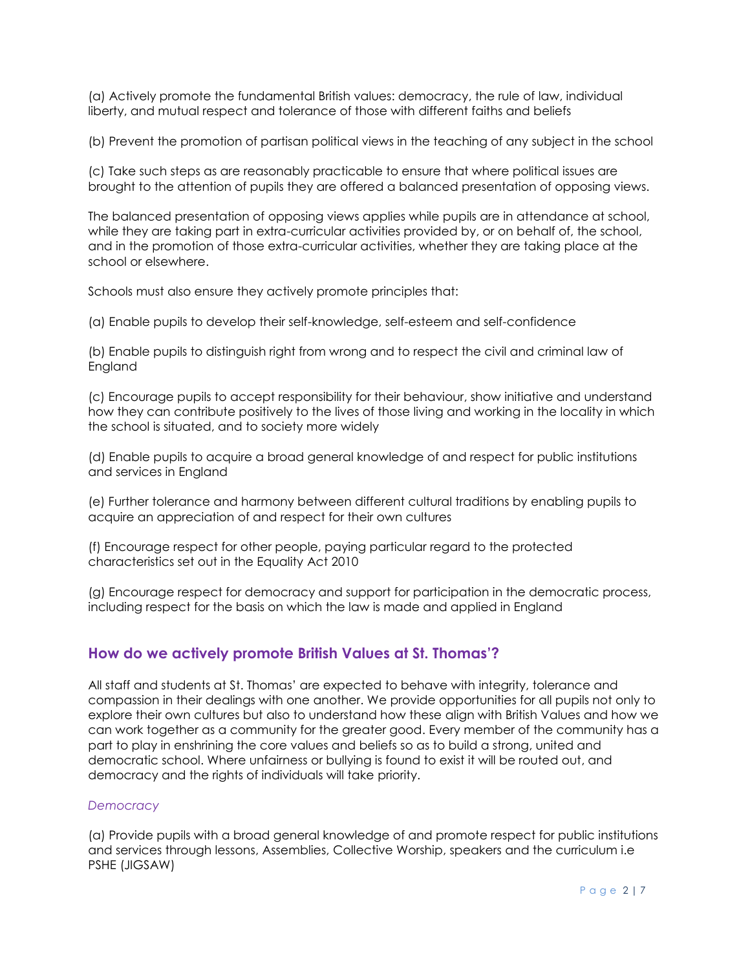(a) Actively promote the fundamental British values: democracy, the rule of law, individual liberty, and mutual respect and tolerance of those with different faiths and beliefs

(b) Prevent the promotion of partisan political views in the teaching of any subject in the school

(c) Take such steps as are reasonably practicable to ensure that where political issues are brought to the attention of pupils they are offered a balanced presentation of opposing views.

The balanced presentation of opposing views applies while pupils are in attendance at school, while they are taking part in extra-curricular activities provided by, or on behalf of, the school, and in the promotion of those extra-curricular activities, whether they are taking place at the school or elsewhere.

Schools must also ensure they actively promote principles that:

(a) Enable pupils to develop their self-knowledge, self-esteem and self-confidence

(b) Enable pupils to distinguish right from wrong and to respect the civil and criminal law of England

(c) Encourage pupils to accept responsibility for their behaviour, show initiative and understand how they can contribute positively to the lives of those living and working in the locality in which the school is situated, and to society more widely

(d) Enable pupils to acquire a broad general knowledge of and respect for public institutions and services in England

(e) Further tolerance and harmony between different cultural traditions by enabling pupils to acquire an appreciation of and respect for their own cultures

(f) Encourage respect for other people, paying particular regard to the protected characteristics set out in the Equality Act 2010

(g) Encourage respect for democracy and support for participation in the democratic process, including respect for the basis on which the law is made and applied in England

#### **How do we actively promote British Values at St. Thomas'?**

All staff and students at St. Thomas' are expected to behave with integrity, tolerance and compassion in their dealings with one another. We provide opportunities for all pupils not only to explore their own cultures but also to understand how these align with British Values and how we can work together as a community for the greater good. Every member of the community has a part to play in enshrining the core values and beliefs so as to build a strong, united and democratic school. Where unfairness or bullying is found to exist it will be routed out, and democracy and the rights of individuals will take priority.

#### *Democracy*

(a) Provide pupils with a broad general knowledge of and promote respect for public institutions and services through lessons, Assemblies, Collective Worship, speakers and the curriculum i.e PSHE (JIGSAW)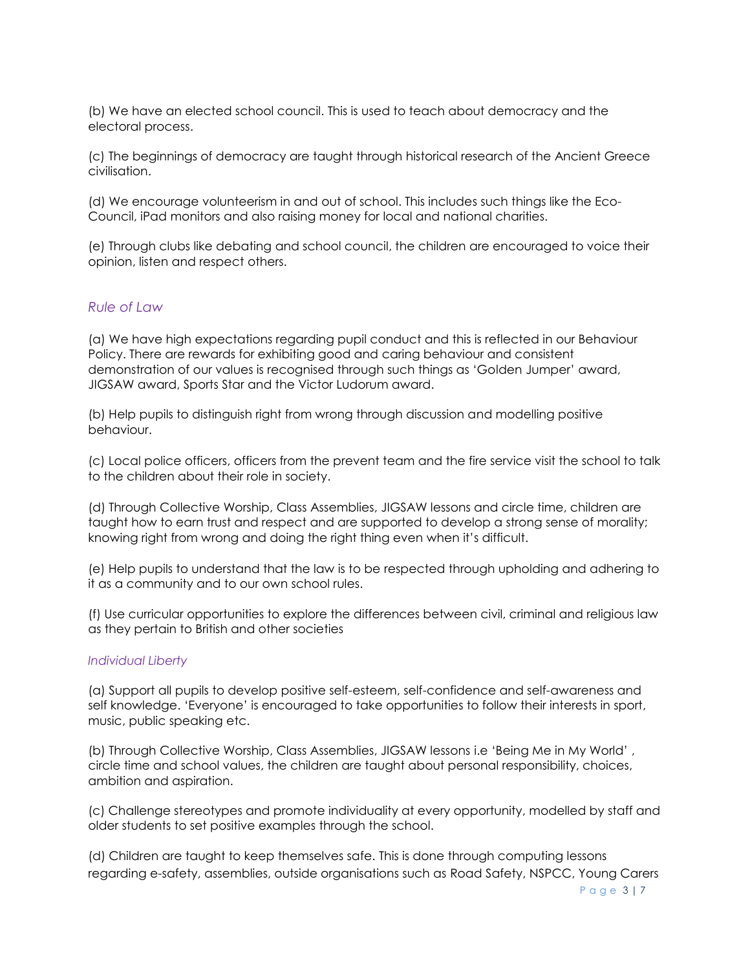(b) We have an elected school council. This is used to teach about democracy and the electoral process.

(c) The beginnings of democracy are taught through historical research of the Ancient Greece civilisation.

(d) We encourage volunteerism in and out of school. This includes such things like the Eco-Council, iPad monitors and also raising money for local and national charities.

(e) Through clubs like debating and school council, the children are encouraged to voice their opinion, listen and respect others.

#### *Rule of Law*

(a) We have high expectations regarding pupil conduct and this is reflected in our Behaviour Policy. There are rewards for exhibiting good and caring behaviour and consistent demonstration of our values is recognised through such things as 'Golden Jumper' award, JIGSAW award, Sports Star and the Victor Ludorum award.

(b) Help pupils to distinguish right from wrong through discussion and modelling positive behaviour.

(c) Local police officers, officers from the prevent team and the fire service visit the school to talk to the children about their role in society.

(d) Through Collective Worship, Class Assemblies, JIGSAW lessons and circle time, children are taught how to earn trust and respect and are supported to develop a strong sense of morality; knowing right from wrong and doing the right thing even when it's difficult.

(e) Help pupils to understand that the law is to be respected through upholding and adhering to it as a community and to our own school rules.

(f) Use curricular opportunities to explore the differences between civil, criminal and religious law as they pertain to British and other societies

#### *Individual Liberty*

(a) Support all pupils to develop positive self-esteem, self-confidence and self-awareness and self knowledge. 'Everyone' is encouraged to take opportunities to follow their interests in sport, music, public speaking etc.

(b) Through Collective Worship, Class Assemblies, JIGSAW lessons i.e 'Being Me in My World' , circle time and school values, the children are taught about personal responsibility, choices, ambition and aspiration.

(c) Challenge stereotypes and promote individuality at every opportunity, modelled by staff and older students to set positive examples through the school.

(d) Children are taught to keep themselves safe. This is done through computing lessons regarding e-safety, assemblies, outside organisations such as Road Safety, NSPCC, Young Carers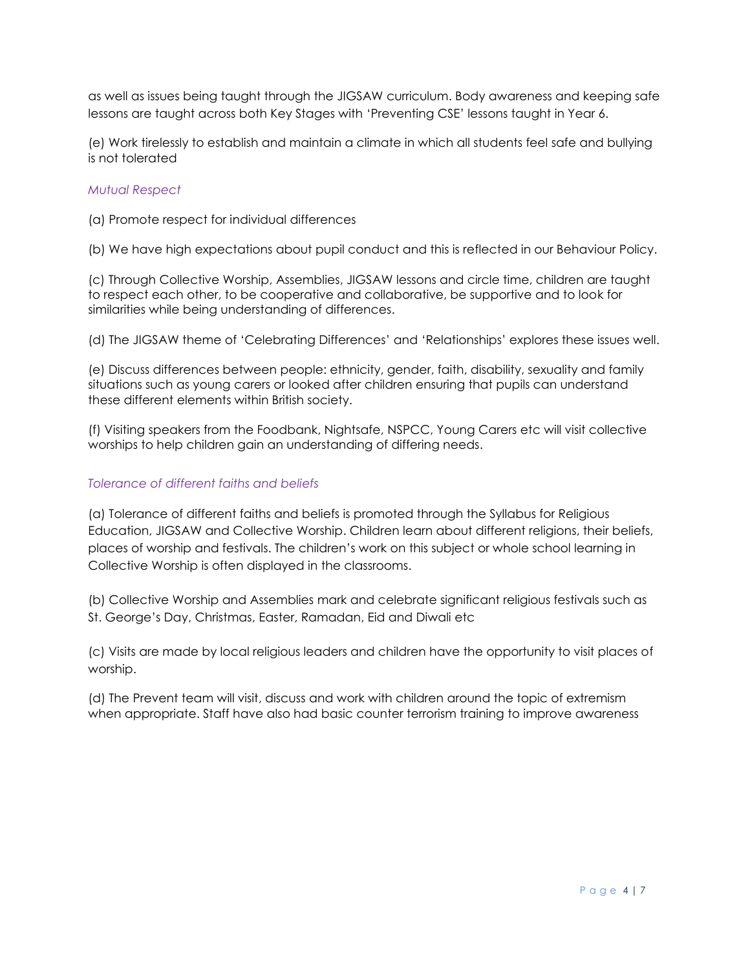as well as issues being taught through the JIGSAW curriculum. Body awareness and keeping safe lessons are taught across both Key Stages with 'Preventing CSE' lessons taught in Year 6.

(e) Work tirelessly to establish and maintain a climate in which all students feel safe and bullying is not tolerated

#### *Mutual Respect*

(a) Promote respect for individual differences

(b) We have high expectations about pupil conduct and this is reflected in our Behaviour Policy.

(c) Through Collective Worship, Assemblies, JIGSAW lessons and circle time, children are taught to respect each other, to be cooperative and collaborative, be supportive and to look for similarities while being understanding of differences.

(d) The JIGSAW theme of 'Celebrating Differences' and 'Relationships' explores these issues well.

(e) Discuss differences between people: ethnicity, gender, faith, disability, sexuality and family situations such as young carers or looked after children ensuring that pupils can understand these different elements within British society.

(f) Visiting speakers from the Foodbank, Nightsafe, NSPCC, Young Carers etc will visit collective worships to help children gain an understanding of differing needs.

#### *Tolerance of different faiths and beliefs*

(a) Tolerance of different faiths and beliefs is promoted through the Syllabus for Religious Education, JIGSAW and Collective Worship. Children learn about different religions, their beliefs, places of worship and festivals. The children's work on this subject or whole school learning in Collective Worship is often displayed in the classrooms.

(b) Collective Worship and Assemblies mark and celebrate significant religious festivals such as St. George's Day, Christmas, Easter, Ramadan, Eid and Diwali etc

(c) Visits are made by local religious leaders and children have the opportunity to visit places of worship.

(d) The Prevent team will visit, discuss and work with children around the topic of extremism when appropriate. Staff have also had basic counter terrorism training to improve awareness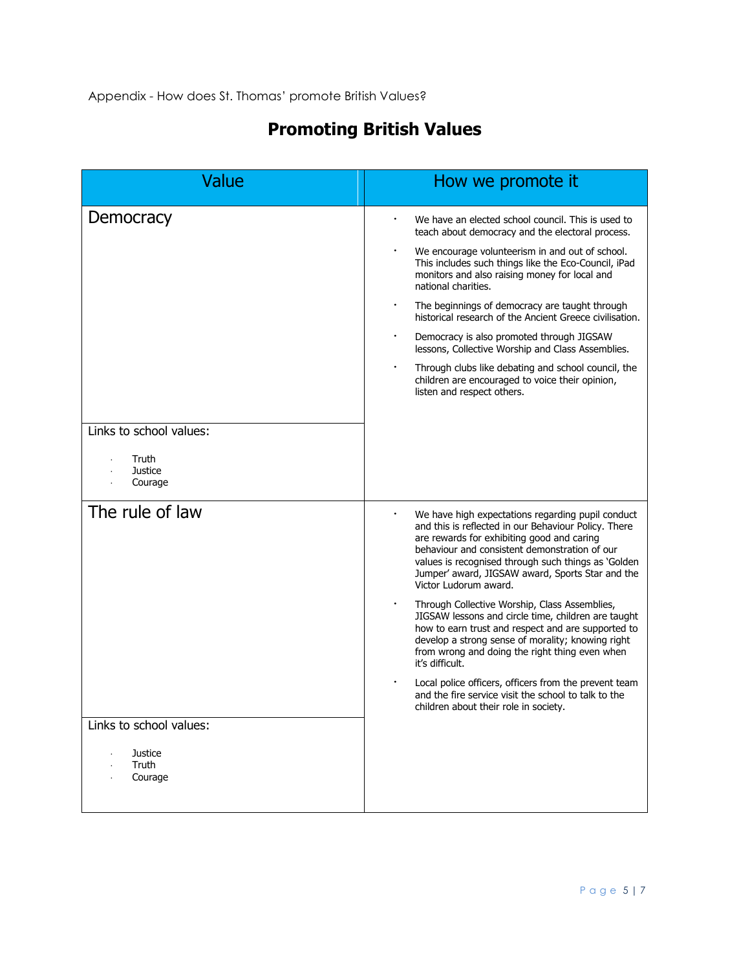Appendix - How does St. Thomas' promote British Values?

### **Promoting British Values**

| Value                                     | How we promote it                                                                                                                                                                                                                                                                                                                            |
|-------------------------------------------|----------------------------------------------------------------------------------------------------------------------------------------------------------------------------------------------------------------------------------------------------------------------------------------------------------------------------------------------|
| Democracy                                 | We have an elected school council. This is used to<br>teach about democracy and the electoral process.                                                                                                                                                                                                                                       |
|                                           | We encourage volunteerism in and out of school.<br>This includes such things like the Eco-Council, iPad<br>monitors and also raising money for local and<br>national charities.                                                                                                                                                              |
|                                           | The beginnings of democracy are taught through<br>historical research of the Ancient Greece civilisation.                                                                                                                                                                                                                                    |
|                                           | Democracy is also promoted through JIGSAW<br>lessons, Collective Worship and Class Assemblies.                                                                                                                                                                                                                                               |
|                                           | Through clubs like debating and school council, the<br>children are encouraged to voice their opinion,<br>listen and respect others.                                                                                                                                                                                                         |
| Links to school values:                   |                                                                                                                                                                                                                                                                                                                                              |
| <b>Truth</b><br><b>Justice</b><br>Courage |                                                                                                                                                                                                                                                                                                                                              |
| The rule of law                           | We have high expectations regarding pupil conduct<br>and this is reflected in our Behaviour Policy. There<br>are rewards for exhibiting good and caring<br>behaviour and consistent demonstration of our<br>values is recognised through such things as 'Golden<br>Jumper' award, JIGSAW award, Sports Star and the<br>Victor Ludorum award. |
|                                           | Through Collective Worship, Class Assemblies,<br>JIGSAW lessons and circle time, children are taught<br>how to earn trust and respect and are supported to<br>develop a strong sense of morality; knowing right<br>from wrong and doing the right thing even when<br>it's difficult.                                                         |
|                                           | Local police officers, officers from the prevent team<br>and the fire service visit the school to talk to the<br>children about their role in society.                                                                                                                                                                                       |
| Links to school values:                   |                                                                                                                                                                                                                                                                                                                                              |
| <b>Justice</b><br>Truth<br>Courage        |                                                                                                                                                                                                                                                                                                                                              |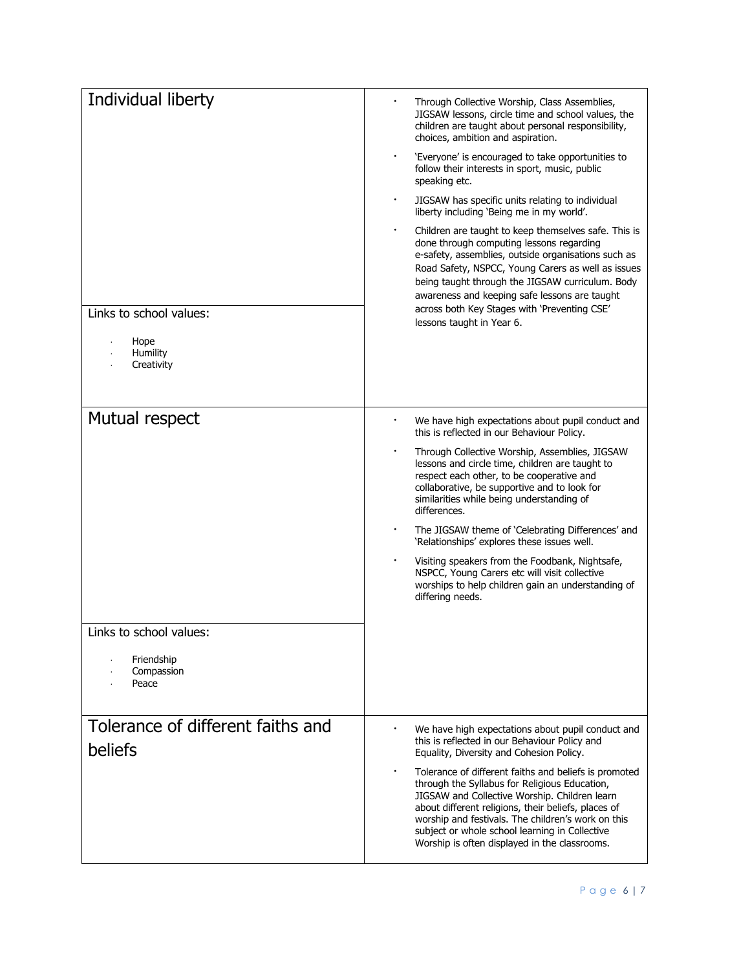| Individual liberty                           | Through Collective Worship, Class Assemblies,<br>JIGSAW lessons, circle time and school values, the<br>children are taught about personal responsibility,<br>choices, ambition and aspiration.                                                                                                                                                                                                                      |
|----------------------------------------------|---------------------------------------------------------------------------------------------------------------------------------------------------------------------------------------------------------------------------------------------------------------------------------------------------------------------------------------------------------------------------------------------------------------------|
|                                              | 'Everyone' is encouraged to take opportunities to<br>follow their interests in sport, music, public<br>speaking etc.                                                                                                                                                                                                                                                                                                |
|                                              | JIGSAW has specific units relating to individual<br>liberty including 'Being me in my world'.                                                                                                                                                                                                                                                                                                                       |
| Links to school values:                      | Children are taught to keep themselves safe. This is<br>done through computing lessons regarding<br>e-safety, assemblies, outside organisations such as<br>Road Safety, NSPCC, Young Carers as well as issues<br>being taught through the JIGSAW curriculum. Body<br>awareness and keeping safe lessons are taught<br>across both Key Stages with 'Preventing CSE'                                                  |
|                                              | lessons taught in Year 6.                                                                                                                                                                                                                                                                                                                                                                                           |
| Hope<br>Humility<br>Creativity               |                                                                                                                                                                                                                                                                                                                                                                                                                     |
| Mutual respect                               | We have high expectations about pupil conduct and<br>this is reflected in our Behaviour Policy.                                                                                                                                                                                                                                                                                                                     |
|                                              | Through Collective Worship, Assemblies, JIGSAW<br>lessons and circle time, children are taught to<br>respect each other, to be cooperative and<br>collaborative, be supportive and to look for<br>similarities while being understanding of<br>differences.                                                                                                                                                         |
|                                              | The JIGSAW theme of 'Celebrating Differences' and<br>'Relationships' explores these issues well.                                                                                                                                                                                                                                                                                                                    |
|                                              | Visiting speakers from the Foodbank, Nightsafe,<br>NSPCC, Young Carers etc will visit collective<br>worships to help children gain an understanding of<br>differing needs.                                                                                                                                                                                                                                          |
| Links to school values:                      |                                                                                                                                                                                                                                                                                                                                                                                                                     |
| Friendship<br>Compassion<br>Peace            |                                                                                                                                                                                                                                                                                                                                                                                                                     |
| Tolerance of different faiths and<br>beliefs | We have high expectations about pupil conduct and<br>this is reflected in our Behaviour Policy and                                                                                                                                                                                                                                                                                                                  |
|                                              | Equality, Diversity and Cohesion Policy.<br>Tolerance of different faiths and beliefs is promoted<br>through the Syllabus for Religious Education,<br>JIGSAW and Collective Worship. Children learn<br>about different religions, their beliefs, places of<br>worship and festivals. The children's work on this<br>subject or whole school learning in Collective<br>Worship is often displayed in the classrooms. |